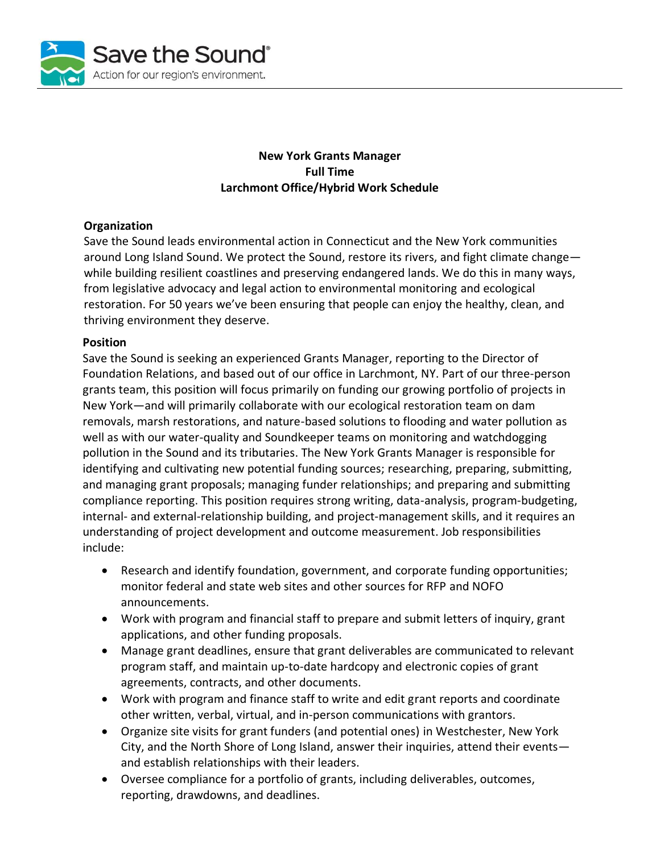

### **New York Grants Manager Full Time Larchmont Office/Hybrid Work Schedule**

# **Organization**

Save the Sound leads environmental action in Connecticut and the New York communities around Long Island Sound. We protect the Sound, restore its rivers, and fight climate change while building resilient coastlines and preserving endangered lands. We do this in many ways, from legislative advocacy and legal action to environmental monitoring and ecological restoration. For 50 years we've been ensuring that people can enjoy the healthy, clean, and thriving environment they deserve.

#### **Position**

Save the Sound is seeking an experienced Grants Manager, reporting to the Director of Foundation Relations, and based out of our office in Larchmont, NY. Part of our three-person grants team, this position will focus primarily on funding our growing portfolio of projects in New York—and will primarily collaborate with our ecological restoration team on dam removals, marsh restorations, and nature-based solutions to flooding and water pollution as well as with our water-quality and Soundkeeper teams on monitoring and watchdogging pollution in the Sound and its tributaries. The New York Grants Manager is responsible for identifying and cultivating new potential funding sources; researching, preparing, submitting, and managing grant proposals; managing funder relationships; and preparing and submitting compliance reporting. This position requires strong writing, data-analysis, program-budgeting, internal- and external-relationship building, and project-management skills, and it requires an understanding of project development and outcome measurement. Job responsibilities include:

- Research and identify foundation, government, and corporate funding opportunities; monitor federal and state web sites and other sources for RFP and NOFO announcements.
- Work with program and financial staff to prepare and submit letters of inquiry, grant applications, and other funding proposals.
- Manage grant deadlines, ensure that grant deliverables are communicated to relevant program staff, and maintain up-to-date hardcopy and electronic copies of grant agreements, contracts, and other documents.
- Work with program and finance staff to write and edit grant reports and coordinate other written, verbal, virtual, and in-person communications with grantors.
- Organize site visits for grant funders (and potential ones) in Westchester, New York City, and the North Shore of Long Island, answer their inquiries, attend their events and establish relationships with their leaders.
- Oversee compliance for a portfolio of grants, including deliverables, outcomes, reporting, drawdowns, and deadlines.